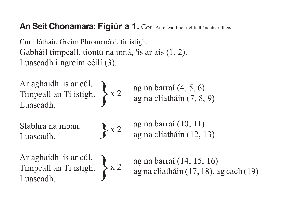## An Seit Chonamara: Figiúr a 1. Cor. An chéad bheirt chliathánach ar dheis.

Cur i láthair. Greim Phromanáid, fir istigh. Gabháil timpeall, tiontú na mná, 'is ar ais (1, 2). Luascadh i ngreim céilí (3).

Ar aghaidh 'is ar cúl. Timpeall an Tí istigh. Luascadh. }

Slabhra na mban. Luascadh.

$$
\bigg\} \times 2
$$

x 2

x 2

ag na barraí (4, 5, 6) ag na cliatháin (7, 8, 9)

ag na barraí (10, 11) ag na cliatháin (12, 13)

Ar aghaidh 'is ar cúl. Timpeall an Tí istigh. Luascadh. }

```
ag na barraí (14, 15, 16)
ag na cliatháin (17, 18), ag cach (19)
```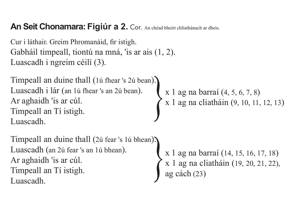## An Seit Chonamara: Figiúr a 2. Cor. An chéad bheirt chliathánach ar dheis.

Cur i láthair. Greim Phromanáid, fir istigh. Gabháil timpeall, tiontú na mná, 'is ar ais (1, 2). Luascadh i ngreim céilí (3).

Timpeall an duine thall (1ú fhear 's 2ú bean). Luascadh i lár (an 1ú fhear 's an 2ú bean). Ar aghaidh 'is ar cúl. Timpeall an Tí istigh. Luascadh.

Timpeall an duine thall (2ú fear 's 1ú bhean). Luascadh (an 2ú fear 's an 1ú bhean). Ar aghaidh 'is ar cúl. Timpeall an Tí istigh. Luascadh.

x 1 ag na barraí (4, 5, 6, 7, 8) }x 1 ag na cliatháin (9, 10, 11, 12, 13)

x 1 ag na barraí (14, 15, 16, 17, 18) x 1 ag na cliatháin (19, 20, 21, 22), }ag cách (23)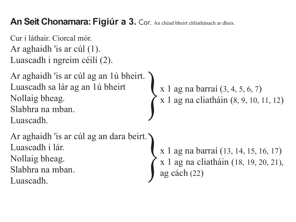An Seit Chonamara: Figiúr a 3. Cor. An chéad bheirt chliathánach ar dheis.

Cur i láthair. Ciorcal mór. Ar aghaidh 'is ar cúl (1). Luascadh i ngreim céilí (2).

Ar aghaidh 'is ar cúl ag an 1ú bheirt. Luascadh sa lár ag an 1ú bheirt Nollaig bheag. Slabhra na mban. Luascadh.

Ar aghaidh 'is ar cúl ag an dara beirt. Luascadh i lár. Nollaig bheag. Slabhra na mban. Luascadh.

```
x 1 ag na barraí (3, 4, 5, 6, 7)
}x 1 ag na cliatháin (8, 9, 10, 11, 12)
```

```
x 1 ag na barraí (13, 14, 15, 16, 17)
x 1 ag na cliatháin (18, 19, 20, 21), }ag cách (22)
```